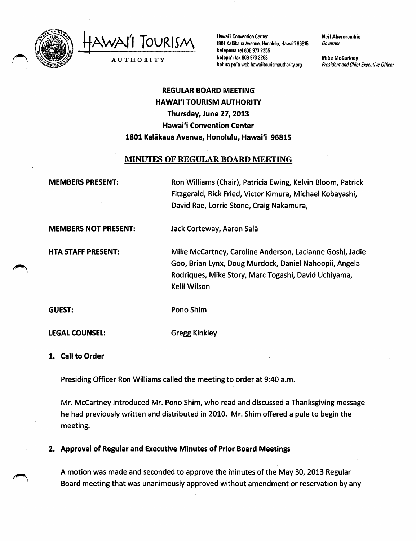

TOURISM AUTHORITY

Hawai'i Convention Center 1801 Kalākaua Avenue, Honolulu. Hawai'i 96815 keleponatel 8089732255 kelepa'i fax8089732253 kahua pa'a web hawaiitourismauthority.org

Neil Abercrombie Governor

Mike McCartney President and Chief Executive Officer

# REGULAR BOARD MEETING HAWAI'I TOURISM AUTHORITY Thursday, June 27,2013 Hawai'i Convention Center 1801 Kalakaua Avenue, Honolulu, Hawai'i 96815

## MINUTES OF REGULAR BOARD MEETING

MEMBERS PRESENT:

Ron Williams (Chair), Patricia Ewing, Kelvin Bloom, Patrick Fitzgerald, Rick Fried, Victor Kimura, Michael Kobayashi, David Rae, Lorrie Stone, Craig Nakamura,

MEMBERS NOT PRESENT: Jack Corteway, Aaron Sala

HTA STAFF PRESENT:

Mike McCartney, Caroline Anderson, Lacianne Goshi, Jadie Goo, Brian Lynx, Doug Murdock, Daniel Nahoopii, Angela Rodriques, Mike Story, MarcTogashi, David Uchiyama, Kelii Wilson

GUEST:

Pono Shim

LEGAL COUNSEL:

Gregg Kinkley

1. Call to Order

Presiding Officer Ron Williams called the meeting to order at 9:40 a.m.

Mr. McCartney introduced Mr. Pono Shim, who read and discussed a Thanksgiving message he had previously written and distributed in 2010. Mr. Shim offered a pule to begin the meeting.

2. Approval of Regular and Executive Minutes of Prior Board Meetings

A motion was made and seconded to approve the minutes of the May 30, 2013 Regular Board meeting that was unanimously approved without amendment or reservation by any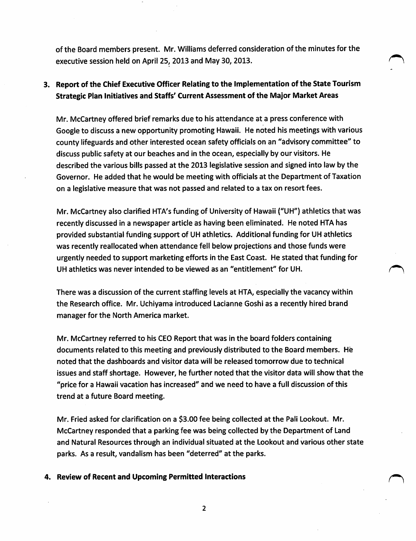of the Board members present. Mr.Williams deferred consideration of the minutes for the executive session held on April 25, 2013 and May 30, 2013.

## 3. Report of the Chief Executive Officer Relating to the implementation of the State Tourism Strategic Plan initiatives and Staffs' Current Assessment of the Major Market Areas

Mr. McCartney offered brief remarks due to his attendance at a press conference with Google to discuss a new opportunity promoting Hawaii. He noted his meetings with various county lifeguards and other interested ocean safety officials on an "advisory committee" to discuss public safety at our beaches and in the ocean, especially by our visitors. He described the various bills passed at the 2013 legislative session and signed into law by the Governor. He added that he would be meeting with officials at the Department of Taxation on a legislative measure that was not passed and related to a tax on resort fees.

Mr. McCartney also clarified HTA's funding of University of Hawaii ("UH") athletics that was recently discussed in a newspaper article as having been eliminated. He noted HTA has provided substantial funding support of UH athletics. Additional funding for UH athletics was recently reallocated when attendance fell below projections and those funds were urgently needed to support marketing efforts in the East Coast. He stated that funding for UH athletics was never intended to be viewed as an "entitlement" for UH.

There was a discussion of the current staffing levels at HTA, especially the vacancy within the Research office. Mr. Uchiyama introduced Lacianne Goshi as a recently hired brand manager for the North America market.

Mr. McCartney referred to his CEO Report that was in the board folders containing documents related to this meeting and previously distributed to the Board members. He noted that the dashboards and visitor data will be released tomorrow due to technical issues and staff shortage. However, he further noted that the visitor data will show that the "price for a Hawaii vacation has increased" and we need to have a full discussion of this trend at a future Board meeting.

Mr. Fried asked for clarification on a \$3.00 fee being collected at the Pali Lookout. Mr. McCartney responded that a parking fee was being collected by the Department of Land and Natural Resources through an individual situated at the Lookout and various other state parks. As a result, vandalism has been "deterred" at the parks.

## 4. Review of Recent and Upcoming Permitted Interactions

 $\overline{2}$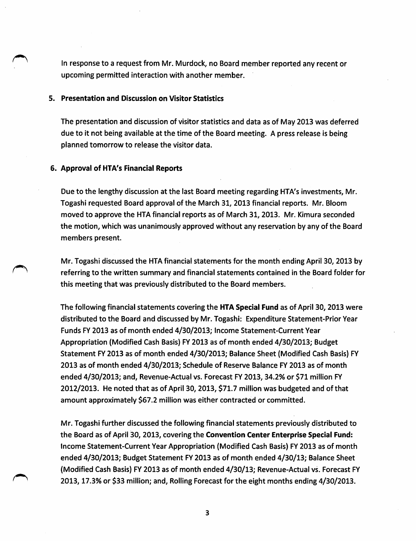In response to a request from Mr. Murdock, no Board member reported any recent or upcoming permitted interaction with another member.

#### 5. Presentation and Discussion on Visitor Statistics

The presentation and discussion of visitor statistics and data as of May 2013 was deferred due to it not being available at the time of the Board meeting. A press release is being planned tomorrow to release the visitor data.

#### 6. Approval of HTA's Financial Reports

Due to the lengthy discussion at the last Board meeting regarding HTA's investments, Mr. Togashi requested Board approval of the March 31, 2013 financial reports. Mr. Bloom moved to approve the HTA financial reports as of March 31, 2013. Mr. Kimura seconded the motion, which was unanimously approved without any reservation by any of the Board members present.

Mr. Togashi discussed the HTA financial statements for the month ending April 30, 2013 by referring to the written summary and financial statements contained in the Board folder for this meeting that was previously distributed to the Board members.

The following financial statements covering the HTA Special Fund as of April 30, 2013 were distributed to the Board and discussed by Mr. Togashi: Expenditure Statement-Prior Year Funds FY 2013 as of month ended 4/30/2013; Income Statement-Current Year Appropriation (Modified Cash Basis) FY 2013 as of month ended 4/30/2013; Budget Statement FY 2013 as of month ended 4/30/2013; Balance Sheet (Modified Cash Basis) FY 2013 as of month ended 4/30/2013; Schedule of Reserve Balance FY 2013 as of month ended 4/30/2013; and, Revenue-Actual vs. Forecast FY 2013, 34.2% or \$71 million FY 2012/2013. He noted that as of April 30, 2013, \$71.7 million was budgeted and of that amount approximately \$67.2 million was either contracted or committed.

Mr. Togashi further discussed the following financial statements previously distributed to the Board as of April 30, 2013, covering the Convention Center Enterprise Special Fund: Income Statement-Current Year Appropriation (Modified Cash Basis) FY 2013 as of month ended 4/30/2013; Budget Statement FY 2013 as of month ended 4/30/13; Balance Sheet (Modified Cash Basis) FY 2013 as of month ended 4/30/13; Revenue-Actual vs. Forecast FY 2013,17.3% or \$33 million; and. Rolling Forecast for the eight months ending 4/30/2013.

 $\overline{\mathbf{3}}$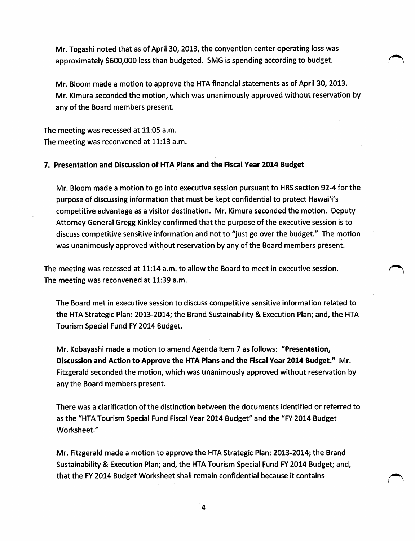Mr. Togashi noted that as of April 30, 2013, the convention center operating loss was approximately \$600,000 less than budgeted. SMG is spending according to budget.

Mr. Bloom made a motion to approve the HTA financial statements as of April 30, 2013. Mr. Kimura seconded the motion, which was unanimously approved without reservation by any of the Board members present.

The meeting was recessed at 11:05 a.m. The meeting was reconvened at 11:13 a.m.

### 7. Presentation and Discussion of HTA Plans and the Fiscal Year 2014 Budget

Mr. Bloom made a motion to go into executive session pursuant to HRS section 92-4 for the purpose of discussing information that must be kept confidential to protect Hawai'i's competitive advantage as a visitor destination. Mr. Kimura seconded the motion. Deputy Attorney General Gregg Kinkley confirmed that the purpose of the executive session is to discuss competitive sensitive information and not to "just go over the budget." The motion was unanimously approved without reservation by any of the Board members present.

The meeting was recessed at 11:14 a.m. to allow the Board to meet in executive session. The meeting was reconvened at 11:39 a.m.

The Board met in executive session to discuss competitive sensitive information related to the HTA Strategic Plan: 2013-2014; the Brand Sustainability & Execution Plan; and, the HTA Tourism Special Fund FY 2014 Budget.

Mr. Kobayashi made a motion to amend Agenda Item 7 as follows: "Presentation, Discussion and Action to Approve the HTA Plans and the Fiscal Year 2014 Budget." Mr. Fitzgerald seconded the motion, which was unanimously approved without reservation by any the Board members present.

There was a clarification ofthe distinction between the documents identified or referred to as the "HTA Tourism Special Fund Fiscal Year 2014 Budget" and the "FY 2014 Budget Worksheet."

Mr. Fitzgerald made a motion to approve the HTA Strategic Plan: 2013-2014; the Brand Sustainability & Execution Plan; and, the HTA Tourism Special Fund FY 2014 Budget; and, that the FY 2014 Budget Worksheet shall remain confidential because it contains

 $\overline{\mathbf{4}}$